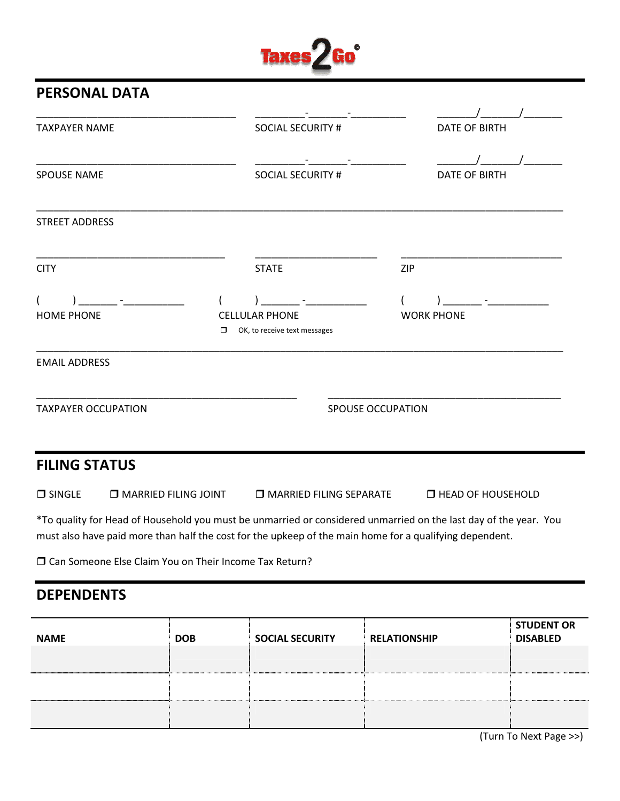## Taxes<sup>2</sup>Go<sup>o</sup>

## PERSONAL DATA

| <b>TAXPAYER NAME</b>       | <b>SOCIAL SECURITY #</b>                                         | <b>DATE OF BIRTH</b>                                                                                             |
|----------------------------|------------------------------------------------------------------|------------------------------------------------------------------------------------------------------------------|
|                            |                                                                  |                                                                                                                  |
| <b>SPOUSE NAME</b>         | <b>SOCIAL SECURITY #</b>                                         | <b>DATE OF BIRTH</b>                                                                                             |
| <b>STREET ADDRESS</b>      |                                                                  |                                                                                                                  |
| <b>CITY</b>                | <b>STATE</b>                                                     | <b>ZIP</b>                                                                                                       |
| $\overline{ }$             | $\overline{ }$                                                   | $\overline{ }$                                                                                                   |
| <b>HOME PHONE</b>          | <b>CELLULAR PHONE</b><br>OK, to receive text messages<br>$\Box$  | <b>WORK PHONE</b>                                                                                                |
| <b>EMAIL ADDRESS</b>       |                                                                  |                                                                                                                  |
| <b>TAXPAYER OCCUPATION</b> |                                                                  | <b>SPOUSE OCCUPATION</b>                                                                                         |
| <b>FILING STATUS</b>       |                                                                  |                                                                                                                  |
| $\Box$ SINGLE              | $\Box$ MARRIED FILING JOINT<br><b>IN MARRIED FILING SEPARATE</b> | <b>IT HEAD OF HOUSEHOLD</b>                                                                                      |
|                            |                                                                  | *To quality for Head of Household you must be unmarried or considered unmarried on the last day of the year. You |

must also have paid more than half the cost for the upkeep of the main home for a qualifying dependent.

Can Someone Else Claim You on Their Income Tax Return?

## DEPENDENTS

| <b>NAME</b> | <b>DOB</b> | <b>SOCIAL SECURITY</b> | <b>RELATIONSHIP</b> | <b>STUDENT OR</b><br><b>DISABLED</b> |
|-------------|------------|------------------------|---------------------|--------------------------------------|
|             |            |                        |                     |                                      |
|             |            |                        |                     |                                      |
|             |            |                        |                     |                                      |

(Turn To Next Page >>)